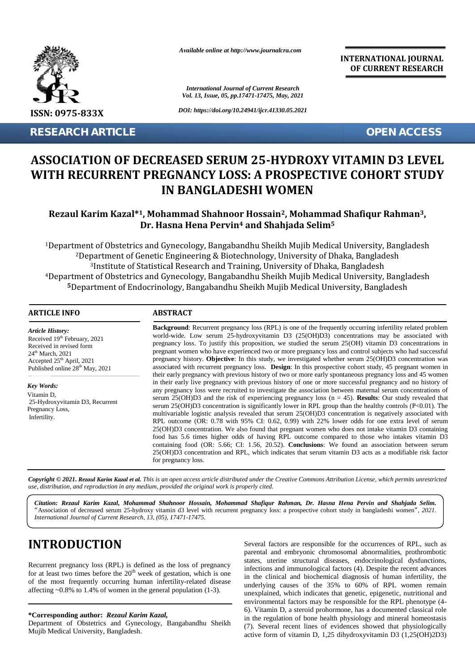

**RESEARCH ARTICLE OPEN ACCESS**

*Available online at http://www.journalcra.com*

*International Journal of Current Research Vol. 13, Issue, 05, pp.17471-17475, May, 2021*

*DOI: https://doi.org/10.24941/ijcr.41330.05.2021*

**INTERNATIONAL JOURNAL OF CURRENT RESEARCH**

# **ASSOCIATION OF DECREASED SERUM 25-HYDROXY VITAMIN D3 LEVEL WITH RECURRENT PREGNANCY LOSS: A PROSPECTIVE COHORT STUDY DECREASED SERUM LEVELRECURRENT STUDYIN BANGLADESHI WOMEN**

# **Rezaul Karim Kazal\*1, Mohammad Shahnoor Hossain2, Mohammad Shafiqur Rahman3, Shahnoor Hossain2Rahman Dr. Hasna Hena Pervin<sup>4</sup> and Shahjada Selim<sup>5</sup> and 5**

Department of Obstetrics and Gynecology, Bangabandhu Sheikh Mujib Medical University, Bangladesh <sup>1</sup>Department of Obstetrics and Gynecology, Bangabandhu Sheikh Mujib Medical University, Bangladesh<br><sup>2</sup>Department of Genetic Engineering & Biotechnology, University of Dhaka, Bangladesh Institute of Statistical Research and Training, University of Dhaka, Bangladesh Department of Obstetrics and Gynecology, Bangabandhu Sheikh Mujib Medical University, Bangladesh 4Department Mujib Medical University, BangladeshDepartment of Endocrinology, Bangabandhu Sheikh Mujib Medical University, Bangladesh **RESEARCH ARTICLE**<br> **ASSOCIATION OF DECREASED SERUM 25-HYDROXY VITAMIN D3 LEVEL<br>
WITH RECURRENT PREGNANCY LOSS: A PROSPECTIVE COHORT STUDY<br>
IN BANGLADESHI WOMEN<br>
Rezaul Karim Kazal<sup>\*1</sup>, Mohammad Shahnoor Hossain<sup>2</sup>, Mohamm** 

#### **ARTICLE INFO ABSTRACT ARTICLE ABSTRACT**

*Article History: Article History:* Received  $19<sup>th</sup>$  February, 2021 Received 19<sup>--</sup> February, 2021<br>Received in revised form  $24<sup>th</sup> March, 2021$ Accepted  $25<sup>th</sup>$  April, 2021 Published online  $28<sup>th</sup>$  May,  $2021$ 

*Key Words:* Vitamin D, 25-Hydroxyvitamin D3, Recurrent Pregnancy Loss, Infertility.

**Background:** Recurrent pregnancy loss (RPL) is one of the frequently occurring infertility related problem world-wide. Low serum 25-hydroxyvitamin D3 (25(OH)D3) concentrations may be associated with pregnancy loss. To justify this proposition, we studied the serum 25(OH) vitamin D3 concentrations in pregnant women who have experienced two or more pregnancy loss and control subjects who had successful pregnancy history. **Objective**: In this study, we investigated whether serum 25(OH)D3 concentration was associated with recurrent pregnancy loss. **Design**: In this prospective cohort study, 45 pregnant women in their early pregnancy with previous history of two or more early spontaneous pregnancy loss and 45 women in their early live pregnancy with previous history of one or more successful pregnancy and no history of any pregnancy loss were recruited to investigate the association between maternal serum concentrations of serum 25(OH)D3 and the risk of experiencing pregnancy loss (n = 45). **Results**: Our study revealed that serum 25(OH)D3 concentration is significantly lower in RPL group than the healthy controls (P<0.01). The multivariable logistic analysis revealed that serum 25(OH)D3 concentration is negatively associated with RPL outcome (OR: 0.78 with 95% CI: 0.62, 0.99) with 22% lower odds for one extra level of serum 25(OH)D3 concentration. We also found that pregnant women who does not intake vitamin D3 containing food has 5.6 times higher odds of having RPL outcome compared to those who intakes vitamin D3 containing food (OR: 5.66; CI: 1.56, 20.52). **Conclusions**: We found an association between serum 25(OH)D3 concentration and RPL, which indicates that serum vitamin D3 acts as a modifiable risk factor for pregnancy loss. **Background:** Recurrent pregnancy loss (RPL) is one of the frequently occurring infertility related problem<br>world-wide. Low serum 25-hydroxyitamin D3 (25(OHJD3) concentrations may be associated with<br>pregnancy loss. To jus **EXAMPLE AND ANTICLE CONTRACT CONTRACT CONTRACT CONTRACT CONTRACT CONTRACT CONTRACT CONTRACT CONTRACT CONTRACT CONTRACT CONTRACT CONTRACT CONTRACT CONTRACT CONTRACT CONTRACT CONTRACT CONTRACT CONTRACT CONTRACT CONTRACT CO** Accepted 25<sup>th</sup> April, 2021<br>
Published online 28<sup>th</sup> May, 2021<br>
Published online 28<sup>th</sup> May, 2021<br>
Infertility.<br> **Example 19th** May, 2021<br>
Infertility associated with recurrent pregnancy loss. **De**<br>
their early pregnancy w

Copyright © 2021. Rezaul Karim Kazal et al. This is an open access article distributed under the Creative Commons Attribution License, which permits unrestricted **Copyright © 2021. Rezaul Karim Kazal et al.** This is an open access article distributed under the Cre<br>use, distribution, and reproduction in any medium, provided the original work is properly cited.

*Citation: Rezaul Karim Kazal, Mohammad Shahnoor Hossain, Mohammad Shafiqur Rahman, Dr. Hasna Hena Pervin and Shahjada Selim. Kazal, Hossain, Shafiqur Hena "*Association of decreased serum 25-hydroxy vitamin d3 level with recurrent pregnancy loss: a prospective cohort study in bangladeshi women*", 2021.* recurrent pregnancy study in *International Journal of Current Research, 13, (05), 17471-17475. Journal*

# **INTRODUCTION INTRODUCTION**

Recurrent pregnancy loss (RPL) is defined as the loss of pregnancy for at least two times before the  $20<sup>th</sup>$  week of gestation, which is one  $\frac{1}{10}$ of the most frequently occurring human infertility-related disease affecting  $\sim 0.8\%$  to 1.4% of women in the general population (1-3). Recurrent pregnancy loss (RPL) is defined as the loss of pregnancy<br>for at least two times before the  $20^{th}$  week of gestation, which is one<br>of the most frequently occurring human infertility-related disease

#### **\*Corresponding author:** *Rezaul Karim Kazal,* **\*Corresponding** *Rezaul*

Department of Obstetrics and Gynecology, Bangabandhu Sheikh Mujib Medical University, Bangladesh.

Several factors are responsible for the occurrences of RPL, such as parental and embryonic chromosomal abnormalities, prothrombotic states, uterine structural diseases, endocrinological dysfunctions, infections and immunological factors (4). Despite the recent advances in the clinical and biochemical diagnosis of human infertility, the underlying causes of the 35% to 60% of RPL women remain unexplained, which indicates that genetic, epigenetic, nutritional and environmental factors may be responsible for the RPL phenotype (4- 6). Vitamin D, a steroid prohormone, has a documented classical role in the regulation of bone health physiology and mineral homeostasis (7). Several recent lines of evidences showed that physiologically active form of vitamin D, 1,25 dihydroxyvitamin D3 (1,25(OH)2D3)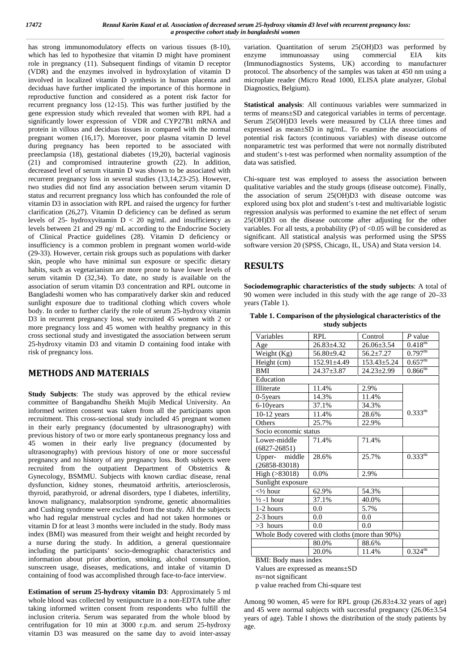has strong immunomodulatory effects on various tissues (8-10), which has led to hypothesize that vitamin D might have prominent enzyme role in pregnancy (11). Subsequent findings of vitamin D receptor (VDR) and the enzymes involved in hydroxylation of vitamin D involved in localized vitamin D synthesis in human placenta and deciduas have further implicated the importance of this hormone in reproductive function and considered as a potent risk factor for recurrent pregnancy loss (12-15). This was further justified by the gene expression study which revealed that women with RPL had a significantly lower expression of VDR and CYP27B1 mRNA and protein in villous and deciduas tissues in compared with the normal pregnant women (16,17). Moreover, poor plasma vitamin D level during pregnancy has been reported to be associated with preeclampsia (18), gestational diabetes (19,20), bacterial vaginosis (21) and compromised intrauterine growth (22). In addition, decreased level of serum vitamin D was shown to be associated with recurrent pregnancy loss in several studies (13,14,23-25). However, two studies did not find any association between serum vitamin D status and recurrent pregnancy loss which has confounded the role of vitamin D3 in association with RPL and raised the urgency for further clarification (26,27). Vitamin D deficiency can be defined as serum levels of 25- hydroxyvitamin  $D < 20$  ng/mL and insufficiency as levels between 21 and 29 ng/ mL according to the Endocrine Society of Clinical Practice guidelines (28). Vitamin D deficiency or insufficiency is a common problem in pregnant women world-wide (29-33). However, certain risk groups such as populations with darker skin, people who have minimal sun exposure or specific dietary habits, such as vegetarianism are more prone to have lower levels of serum vitamin  $\overline{D}$  (32,34). To date, no study is available on the association of serum vitamin D3 concentration and RPL outcome in Bangladeshi women who has comparatively darker skin and reduced sunlight exposure due to traditional clothing which covers whole body. In order to further clarify the role of serum 25-hydroxy vitamin D3 in recurrent pregnancy loss, we recruited 45 women with 2 or more pregnancy loss and 45 women with healthy pregnancy in this cross sectional study and investigated the association between serum 25-hydroxy vitamin D3 and vitamin D containing food intake with risk of pregnancy loss.

## **METHODS AND MATERIALS**

**Study Subjects**: The study was approved by the ethical review committee of Bangabandhu Sheikh Mujib Medical University. An informed written consent was taken from all the participants upon recruitment. This cross-sectional study included 45 pregnant women in their early pregnancy (documented by ultrasonography) with previous history of two or more early spontaneous pregnancy loss and 45 women in their early live pregnancy (documented by ultrasonography) with previous history of one or more successful pregnancy and no history of any pregnancy loss. Both subjects were recruited from the outpatient Department of Obstetrics & Gynecology, BSMMU. Subjects with known cardiac disease, renal dysfunction, kidney stones, rheumatoid arthritis, arteriosclerosis, thyroid, parathyroid, or adrenal disorders, type I diabetes, infertility, known malignancy, malabsorption syndrome, genetic abnormalities and Cushing syndrome were excluded from the study. All the subjects who had regular menstrual cycles and had not taken hormones or vitamin D for at least 3 months were included in the study. Body mass index (BMI) was measured from their weight and height recorded by a nurse during the study. In addition, a general questionnaire including the participants' socio-demographic characteristics and information about prior abortion, smoking, alcohol consumption, sunscreen usage, diseases, medications, and intake of vitamin D containing of food was accomplished through face-to-face interview.

**Estimation of serum 25-hydroxy vitamin D3**: Approximately 5 ml whole blood was collected by venipuncture in a non-EDTA tube after taking informed written consent from respondents who fulfill the inclusion criteria. Serum was separated from the whole blood by centrifugation for 10 min at 3000 r.p.m. and serum 25-hydroxy vitamin D3 was measured on the same day to avoid inter-assay

variation. Quantitation of serum 25(OH)D3 was performed by immunoassay using commercial EIA kits (Immunodiagnostics Systems, UK) according to manufacturer protocol. The absorbency of the samples was taken at 450 nm using a microplate reader (Micro Read 1000, ELISA plate analyzer, Global Diagnostics, Belgium).

**Statistical analysis**: All continuous variables were summarized in terms of means±SD and categorical variables in terms of percentage. Serum 25(OH)D3 levels were measured by CLIA three times and expressed as mean±SD in ng/mL. To examine the associations of potential risk factors (continuous variables) with disease outcome nonparametric test was performed that were not normally distributed and student's t-test was performed when normality assumption of the data was satisfied.

Chi-square test was employed to assess the association between qualitative variables and the study groups (disease outcome). Finally, the association of serum 25(OH)D3 with disease outcome was explored using box plot and student's t-test and multivariable logistic regression analysis was performed to examine the net effect of serum 25(OH)D3 on the disease outcome after adjusting for the other variables. For all tests, a probability (P) of  $< 0.05$  will be considered as significant. All statistical analysis was performed using the SPSS software version 20 (SPSS, Chicago, IL, USA) and Stata version 14.

# **RESULTS**

**Sociodemographic characteristics of the study subjects**: A total of 90 women were included in this study with the age range of 20–33 years (Table 1).

| Table 1. Comparison of the physiological characteristics of the |  |
|-----------------------------------------------------------------|--|
| study subjects                                                  |  |

| Variables                                      | RPL               | Control           | $P$ value                      |
|------------------------------------------------|-------------------|-------------------|--------------------------------|
| Age                                            | $26.83 \pm 4.32$  | $26.06 \pm 3.54$  | $0.418^{\overline{\text{ns}}}$ |
| Weight (Kg)                                    | 56.80±9.42        | $56.2 \pm 7.27$   | $0.797^{ns}$                   |
| Height (cm)                                    | $152.91 \pm 4.49$ | $153.43 \pm 5.24$ | $0.657^{ns}$                   |
| <b>BMI</b>                                     | $24.37 \pm 3.87$  | $24.23 \pm 2.99$  | $0.866^{n\overline{s}}$        |
| Education                                      |                   |                   |                                |
| Illiterate                                     | 11.4%             | 2.9%              |                                |
| $0-5$ years                                    | 14.3%             | 11.4%             |                                |
| 6-10 years                                     | 37.1%             | 34.3%             |                                |
| $10-12$ years                                  | 11.4%             | 28.6%             | $0.333^{ns}$                   |
| Others                                         | 25.7%             | 22.9%             |                                |
| Socio economic status                          |                   |                   |                                |
| Lower-middle                                   | 71.4%             | 71.4%             |                                |
| $(6827 - 26851)$                               |                   |                   |                                |
| Upper- middle<br>$(26858 - 83018)$             | 28.6%             | 25.7%             | $0.333^{ns}$                   |
| High (>83018)                                  | $0.0\%$           | 2.9%              |                                |
| Sunlight exposure                              |                   |                   |                                |
| $\langle 1/2 \text{ hour} \rangle$             | 62.9%             | 54.3%             |                                |
| $\frac{1}{2}$ -1 hour                          | 37.1%             | 40.0%             |                                |
| 1-2 hours                                      | 0.0               | 5.7%              |                                |
| 2-3 hours                                      | 0.0               | 0.0               |                                |
| $>3$ hours                                     | 0.0               | 0.0               |                                |
| Whole Body covered with cloths (more than 90%) |                   |                   |                                |
|                                                | 80.0%             | 88.6%             |                                |
|                                                | 20.0%             | 11.4%             | $0.324^{ns}$                   |

BMI: Body mass index

Values are expressed as means±SD

age.

ns=not significant p value reached from Chi-square test

Among 90 women, 45 were for RPL group (26.83±4.32 years of age) and 45 were normal subjects with successful pregnancy (26.06±3.54 years of age). Table I shows the distribution of the study patients by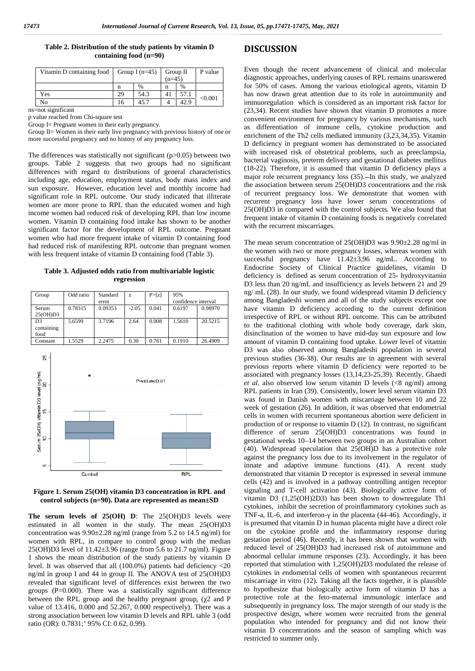| Table 2. Distribution of the study patients by vitamin D | D |
|----------------------------------------------------------|---|
| containing food $(n=90)$                                 |   |

| Vitamin D containing food   Group I (n=45)   Group II |    |               | $(n=45)$ |      | P value |  |
|-------------------------------------------------------|----|---------------|----------|------|---------|--|
|                                                       | n  | $\frac{0}{0}$ | n        | %    |         |  |
| Yes                                                   | 29 | 54.3          | 41       | 57.1 | < 0.001 |  |
| No                                                    | 16 | 45.7          |          | 42.9 |         |  |

ns=not significant

p value reached from Chi-square test

Group I= Pregnant women in their early pregnancy.

Group II= Women in their early live pregnancy with previous history of one or more successful pregnancy and no history of any pregnancy loss.

The differences was statistically not significant  $(p>0.05)$  between two groups. Table 2 suggests that two groups had no significant differences with regard to distributions of general characteristics including age, education, employment status, body mass index and sun exposure. However, education level and monthly income had significant role in RPL outcome. Our study indicated that illiterate women are more prone to RPL than the educated women and high income women had reduced risk of developing RPL than low income women. Vitamin D containing food intake has shown to be another significant factor for the development of RPL outcome. Pregnant women who had more frequent intake of vitamin D containing food had reduced risk of manifesting RPL outcome than pregnant women with less frequent intake of vitamin D containing food (Table 3).

#### **Table 3. Adjusted odds ratio from multivariable logistic regression**

| Group                                | Odd ratio | Standard<br>error | z       | P > [z] | 95%<br>confidence interval |         |
|--------------------------------------|-----------|-------------------|---------|---------|----------------------------|---------|
| Serum<br>25(OH)D3                    | 0.78315   | 0.09353           | $-2.05$ | 0.041   | 0.6197                     | 0.98970 |
| D <sub>3</sub><br>containing<br>food | 5.6599    | 3.7196            | 2.64    | 0.008   | 1.5610                     | 20.5215 |
| Constant                             | 1.5529    | 2.2475            | 0.30    | 0.761   | 0.1910                     | 26.4909 |



**Figure 1. Serum 25(OH) vitamin D3 concentration in RPL and control subjects (n=90). Data are represented as mean±SD**

**The serum levels of 25(OH) D**: The 25(OH)D3 levels were estimated in all women in the study. The mean 25(OH)D3 concentration was 9.90±2.28 ng/ml (range from 5.2 to 14.5 ng/ml) for women with RPL, in compare to control group with the median 25(OH)D3 level of 11.42±3.96 (range from 5.6 to 21.7 ng/ml). Figure 1 shows the mean distribution of the study patients by vitamin D level. It was observed that all (100.0%) patients had deficiency <20 ng/ml in group I and 44 in group II. The ANOVA test of 25(OH)D3 revealed that significant level of differences exist between the two groups  $(P=0.000)$ . There was a statistically significant difference between the RPL group and the healthy pregnant group, (2 and P value of 13.416, 0.000 and 52.267, 0.000 respectively). There was a strong association between low vitamin D levels and RPL table 3 (odd ratio (OR): 0.7831;' 95% CI: 0.62, 0.99).

## **DISCUSSION**

Even though the recent advancement of clinical and molecular diagnostic approaches, underlying causes of RPL remains unanswered for 50% of cases. Among the various etiological agents, vitamin D has now drawn great attention due to its role in autoimmunity and immuoregulation which is considered as an important risk factor for (23,34). Recent studies have shown that vitamin D promotes a more convenient environment for pregnancy by various mechanisms, such as differentiation of immune cells, cytokine production and enrichment of the Th2 cells mediated immunity (3,23,34,35). Vitamin D deficiency in pregnant women has demonstrated to be associated with increased risk of obstetrical problems, such as preeclampsia, bacterial vaginosis, preterm delivery and gestational diabetes mellitus (18-22). Therefore, it is assumed that vitamin D deficiency plays a major role recurrent pregnancy loss (35). In this study, we analyzed the association between serum 25(OH)D3 concentrations and the risk of recurrent pregnancy loss. We demonstrate that women with recurrent pregnancy loss have lower serum concentrations of 25(OH)D3 in compared with the control subjects. We also found that frequent intake of vitamin D containing foods is negatively correlated with the recurrent miscarriages.

The mean serum concentration of 25(OH)D3 was 9.90±2.28 ng/ml in the women with two or more pregnancy losses, whereas women with successful pregnancy have  $11.42\pm3.96$  ng/mL. According to Endocrine Society of Clinical Practice guidelines, vitamin D deficiency is defined as serum concentration of 25- hydroxyvitamin D3 less than 20 ng/mL and insufficiency as levels between 21 and 29 ng/ mL (28). In our study, we found widespread vitamin D deficiency among Bangladeshi women and all of the study subjects except one have vitamin D deficiency according to the current definition irrespective of RPL or without RPL outcome. This can be attributed to the traditional clothing with whole body coverage, dark skin, disinclination of the women to have mid-day sun exposure and low amount of vitamin D containing food uptake. Lower level of vitamin D3 was also observed among Bangladeshi population in several previous studies (36-38). Our results are in agreement with several previous reports where vitamin D deficiency were reported to be associated with pregnancy losses (13,14,23-25,39). Recently, Ghaedi *et al*. also observed low serum vitamin D levels (<8 ng/ml) among RPL patients in Iran (39). Consistently, lower level serum vitamin D3 was found in Danish women with miscarriage between 10 and 22 week of gestation (26). In addition, it was observed that endometrial cells in women with recurrent spontaneous abortion were deficient in production of or response to vitamin D (12). In contrast, no significant difference of serum 25(OH)D3 concentrations was found in gestational weeks 10–14 between two groups in an Australian cohort (40). Widespread speculation that 25(OH)D has a protective role against the pregnancy loss due to its involvement in the regulator of innate and adaptive immune functions (41). A recent study demonstrated that vitamin D receptor is expressed in several immune cells (42) and is involved in a pathway controlling antigen receptor signaling and T-cell activation (43). Biologically active form of vitamin D3 (1,25(OH)2D3) has been shown to downregulate Th1 cytokines, inhibit the secretion of proinflammatory cytokines such as TNF-a, IL-6, and interferon- in the placenta (44-46). Accordingly, it is presumed that vitamin D in human placenta might have a direct role on the cytokine profile and the inflammatory response during gestation period (46). Recently, it has been shown that women with reduced level of 25(OH)D3 had increased risk of autoimmune and abnormal cellular immune responses (23). Accordingly, it has been reported that stimulation with 1,25(OH)2D3 modulated the release of cytokines in endometrial cells of women with spontaneous recurrent miscarriage in vitro (12). Taking all the facts together, it is plausible to hypothesize that biologically active form of vitamin D has a protective role at the feto-maternal immunologic interface and subsequently in pregnancy loss. The major strength of our study is the prospective design, where women were recruited from the general population who intended for pregnancy and did not know their vitamin D concentrations and the season of sampling which was restricted to summer only.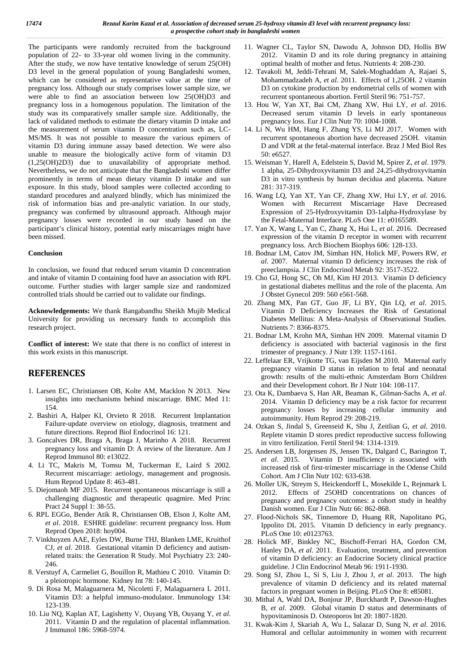The participants were randomly recruited from the background population of 22- to 33-year old women living in the community. After the study, we now have tentative knowledge of serum 25(OH) D3 level in the general population of young Bangladeshi women, which can be considered as representative value at the time of pregnancy loss. Although our study comprises lower sample size, we were able to find an association between low 25(OH)D3 and pregnancy loss in a homogenous population. The limitation of the study was its comparatively smaller sample size. Additionally, the lack of validated methods to estimate the dietary vitamin D intake and the measurement of serum vitamin D concentration such as, LC- MS/MS. It was not possible to measure the various epimers of vitamin D3 during immune assay based detection. We were also unable to measure the biologically active form of vitamin D3 (1,25(OH)2D3) due to unavailability of appropriate method. Nevertheless, we do not anticipate that the Bangladeshi women differ prominently in terms of mean dietary vitamin D intake and sun exposure. In this study, blood samples were collected according to standard procedures and analyzed blindly, which has minimized the risk of information bias and pre-analytic variation. In our study, pregnancy was confirmed by ultrasound approach. Although major pregnancy losses were recorded in our study based on the participant's clinical history, potential early miscarriages might have been missed.

#### **Conclusion**

In conclusion, we found that reduced serum vitamin D concentration and intake of vitamin D containing food have an association with RPL outcome. Further studies with larger sample size and randomized controlled trials should be carried out to validate our findings.

**Acknowledgements:** We thank Bangabandhu Sheikh Mujib Medical University for providing us necessary funds to accomplish this research project.

**Conflict of interest:** We state that there is no conflict of interest in this work exists in this manuscript.

### **REFERENCES**

- 1. Larsen EC, Christiansen OB, Kolte AM, Macklon N 2013. New insights into mechanisms behind miscarriage. BMC Med 11: 154.
- 2. Bashiri A, Halper KI, Orvieto R 2018. Recurrent Implantation Failure-update overview on etiology, diagnosis, treatment and future directions. Reprod Biol Endocrinol 16: 121.
- 3. Goncalves DR, Braga A, Braga J, Marinho A 2018. Recurrent pregnancy loss and vitamin D: A review of the literature. Am J Reprod Immunol 80: e13022.
- 4. Li TC, Makris M, Tomsu M, Tuckerman E, Laird S 2002. Recurrent miscarriage: aetiology, management and prognosis. Hum Reprod Update 8: 463-481.
- 5. Diejomaoh MF 2015. Recurrent spontaneous miscarriage is still a challenging diagnostic and therapeutic quagmire. Med Princ Pract 24 Suppl 1: 38-55.
- 6. RPL EGGo, Bender Atik R, Christiansen OB, Elson J, Kolte AM, *et al*. 2018. ESHRE guideline: recurrent pregnancy loss. Hum Reprod Open 2018: hoy004.
- 7. Vinkhuyzen AAE, Eyles DW, Burne THJ, Blanken LME, Kruithof CJ, *et al*. 2018. Gestational vitamin D deficiency and autismrelated traits: the Generation R Study. Mol Psychiatry 23: 240- 246.
- 8. Verstuyf A, Carmeliet G, Bouillon R, Mathieu C 2010. Vitamin D: a pleiotropic hormone. Kidney Int 78: 140-145.
- 9. Di Rosa M, Malaguarnera M, Nicoletti F, Malaguarnera L 2011. Vitamin D3: a helpful immuno-modulator. Immunology 134: 123-139.
- 10. Liu NQ, Kaplan AT, Lagishetty V, Ouyang YB, Ouyang Y, *et al*. 2011. Vitamin D and the regulation of placental inflammation. J Immunol 186: 5968-5974.
- 11. Wagner CL, Taylor SN, Dawodu A, Johnson DD, Hollis BW 2012. Vitamin D and its role during pregnancy in attaining optimal health of mother and fetus. Nutrients 4: 208-230.
- 12. Tavakoli M, Jeddi-Tehrani M, Salek-Moghaddam A, Rajaei S, Mohammadzadeh A, *et al*. 2011. Effects of 1,25OH. 2 vitamin D3 on cytokine production by endometrial cells of women with recurrent spontaneous abortion. Fertil Steril 96: 751-757.
- 13. Hou W, Yan XT, Bai CM, Zhang XW, Hui LY, *et al*. 2016. Decreased serum vitamin D levels in early spontaneous pregnancy loss. Eur J Clin Nutr 70: 1004-1008.
- 14. Li N, Wu HM, Hang F, Zhang YS, Li MJ 2017. Women with recurrent spontaneous abortion have decreased 25OH. vitamin D and VDR at the fetal-maternal interface. Braz J Med Biol Res 50: e6527.
- 15. Weisman Y, Harell A, Edelstein S, David M, Spirer Z, *et al*. 1979. 1 alpha, 25-Dihydroxyvitamin D3 and 24,25-dihydroxyvitamin D3 in vitro synthesis by human decidua and placenta. Nature 281: 317-319.
- 16. Wang LQ, Yan XT, Yan CF, Zhang XW, Hui LY, *et al*. 2016. Women with Recurrent Miscarriage Have Decreased Expression of 25-Hydroxyvitamin D3-1alpha-Hydroxylase by the Fetal-Maternal Interface. PLoS One 11: e0165589.
- 17. Yan X, Wang L, Yan C, Zhang X, Hui L, *et al*. 2016. Decreased expression of the vitamin D receptor in women with recurrent pregnancy loss. Arch Biochem Biophys 606: 128-133.
- 18. Bodnar LM, Catov JM, Simhan HN, Holick MF, Powers RW, *et al*. 2007. Maternal vitamin D deficiency increases the risk of preeclampsia. J Clin Endocrinol Metab 92: 3517-3522.
- 19. Cho GJ, Hong SC, Oh MJ, Kim HJ 2013. Vitamin D deficiency in gestational diabetes mellitus and the role of the placenta. Am J Obstet Gynecol 209: 560 e561-568.
- 20. Zhang MX, Pan GT, Guo JF, Li BY, Qin LQ, *et al*. 2015. Vitamin D Deficiency Increases the Risk of Gestational Diabetes Mellitus: A Meta-Analysis of Observational Studies. Nutrients 7: 8366-8375.
- 21. Bodnar LM, Krohn MA, Simhan HN 2009. Maternal vitamin D deficiency is associated with bacterial vaginosis in the first trimester of pregnancy. J Nutr 139: 1157-1161.
- 22. Leffelaar ER, Vrijkotte TG, van Eijsden M 2010. Maternal early pregnancy vitamin D status in relation to fetal and neonatal growth: results of the multi-ethnic Amsterdam Born Children and their Development cohort. Br J Nutr 104: 108-117.
- 23. Ota K, Dambaeva S, Han AR, Beaman K, Gilman-Sachs A, *et al*. 2014. Vitamin D deficiency may be a risk factor for recurrent pregnancy losses by increasing cellular immunity and autoimmunity. Hum Reprod 29: 208-219.
- 24. Ozkan S, Jindal S, Greenseid K, Shu J, Zeitlian G, *et al*. 2010. Replete vitamin D stores predict reproductive success following in vitro fertilization. Fertil Steril 94: 1314-1319.
- 25. Andersen LB, Jorgensen JS, Jensen TK, Dalgard C, Barington T, *et al*. 2015. Vitamin D insufficiency is associated with increased risk of first-trimester miscarriage in the Odense Child Cohort. Am J Clin Nutr 102: 633-638.
- 26. Moller UK, Streym S, Heickendorff L, Mosekilde L, Rejnmark L 2012. Effects of 25OHD concentrations on chances of pregnancy and pregnancy outcomes: a cohort study in healthy Danish women. Eur J Clin Nutr 66: 862-868.
- 27. Flood-Nichols SK, Tinnemore D, Huang RR, Napolitano PG, Ippolito DL 2015. Vitamin D deficiency in early pregnancy. PLoS One 10: e0123763.
- 28. Holick MF, Binkley NC, Bischoff-Ferrari HA, Gordon CM, Hanley DA, *et al*. 2011. Evaluation, treatment, and prevention of vitamin D deficiency: an Endocrine Society clinical practice guideline. J Clin Endocrinol Metab 96: 1911-1930.
- 29. Song SJ, Zhou L, Si S, Liu J, Zhou J, *et al*. 2013. The high prevalence of vitamin D deficiency and its related maternal factors in pregnant women in Beijing. PLoS One 8: e85081.
- 30. Mithal A, Wahl DA, Bonjour JP, Burckhardt P, Dawson-Hughes B, *et al*. 2009. Global vitamin D status and determinants of hypovitaminosis D. Osteoporos Int 20: 1807-1820.
- 31. Kwak-Kim J, Skariah A, Wu L, Salazar D, Sung N, *et al*. 2016. Humoral and cellular autoimmunity in women with recurrent